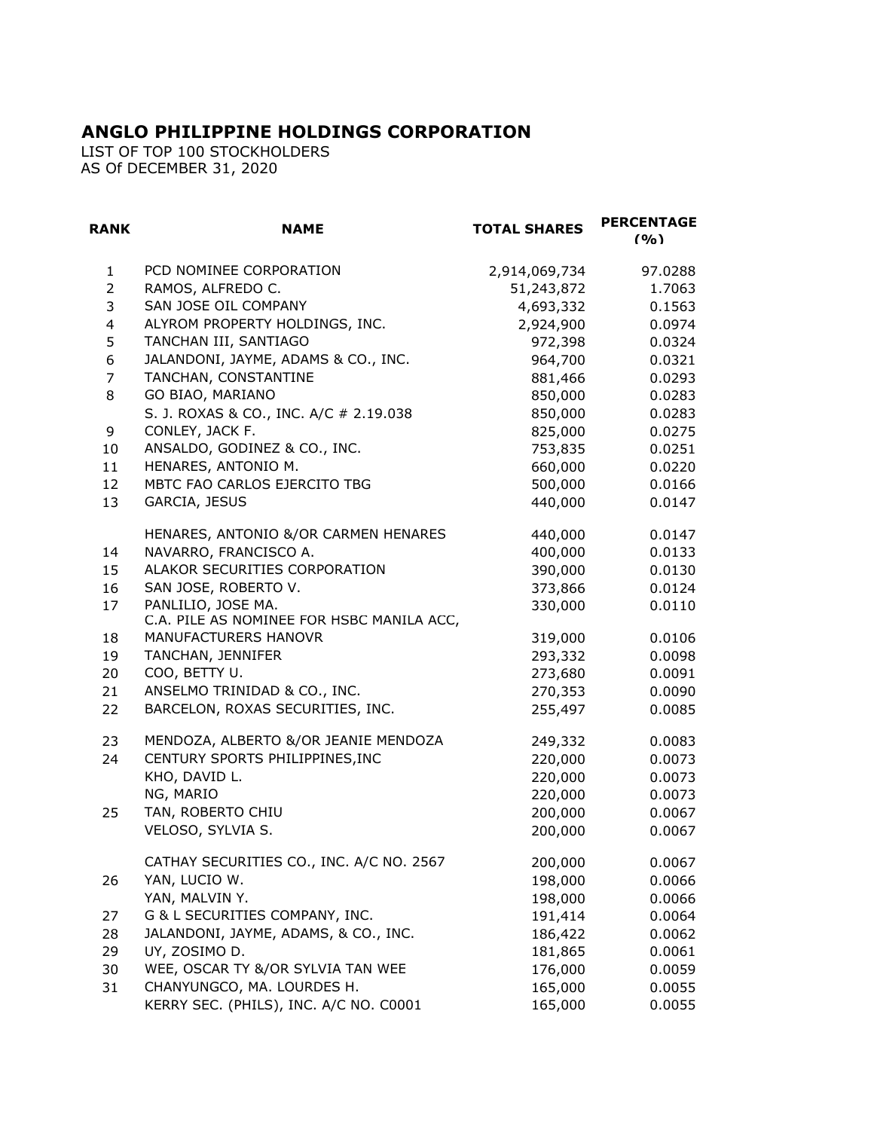## **ANGLO PHILIPPINE HOLDINGS CORPORATION**

LIST OF TOP 100 STOCKHOLDERS AS Of DECEMBER 31, 2020

| <b>RANK</b>    | <b>NAME</b>                                                     | <b>TOTAL SHARES</b> | <b>PERCENTAGE</b><br>(9/0) |
|----------------|-----------------------------------------------------------------|---------------------|----------------------------|
| $\mathbf{1}$   | PCD NOMINEE CORPORATION                                         | 2,914,069,734       | 97.0288                    |
| $\overline{2}$ | RAMOS, ALFREDO C.                                               | 51,243,872          | 1.7063                     |
| 3              | SAN JOSE OIL COMPANY                                            | 4,693,332           | 0.1563                     |
| 4              | ALYROM PROPERTY HOLDINGS, INC.                                  | 2,924,900           | 0.0974                     |
| 5              | TANCHAN III, SANTIAGO                                           | 972,398             | 0.0324                     |
| 6              | JALANDONI, JAYME, ADAMS & CO., INC.                             | 964,700             | 0.0321                     |
| $\overline{7}$ | TANCHAN, CONSTANTINE                                            | 881,466             | 0.0293                     |
| 8              | GO BIAO, MARIANO                                                | 850,000             | 0.0283                     |
|                | S. J. ROXAS & CO., INC. A/C # 2.19.038                          | 850,000             | 0.0283                     |
| 9              | CONLEY, JACK F.                                                 | 825,000             | 0.0275                     |
| 10             | ANSALDO, GODINEZ & CO., INC.                                    | 753,835             | 0.0251                     |
| 11             | HENARES, ANTONIO M.                                             | 660,000             | 0.0220                     |
| 12             | MBTC FAO CARLOS EJERCITO TBG                                    | 500,000             | 0.0166                     |
| 13             | GARCIA, JESUS                                                   | 440,000             | 0.0147                     |
|                | HENARES, ANTONIO &/OR CARMEN HENARES                            | 440,000             | 0.0147                     |
| 14             | NAVARRO, FRANCISCO A.                                           | 400,000             | 0.0133                     |
| 15             | ALAKOR SECURITIES CORPORATION                                   | 390,000             | 0.0130                     |
| 16             | SAN JOSE, ROBERTO V.                                            | 373,866             | 0.0124                     |
| 17             | PANLILIO, JOSE MA.<br>C.A. PILE AS NOMINEE FOR HSBC MANILA ACC, | 330,000             | 0.0110                     |
| 18             | MANUFACTURERS HANOVR                                            | 319,000             | 0.0106                     |
| 19             | TANCHAN, JENNIFER                                               | 293,332             | 0.0098                     |
| 20             | COO, BETTY U.                                                   | 273,680             | 0.0091                     |
| 21             | ANSELMO TRINIDAD & CO., INC.                                    | 270,353             | 0.0090                     |
| 22             | BARCELON, ROXAS SECURITIES, INC.                                | 255,497             | 0.0085                     |
| 23             | MENDOZA, ALBERTO &/OR JEANIE MENDOZA                            | 249,332             | 0.0083                     |
| 24             | CENTURY SPORTS PHILIPPINES, INC                                 | 220,000             | 0.0073                     |
|                | KHO, DAVID L.                                                   | 220,000             | 0.0073                     |
|                | NG, MARIO                                                       | 220,000             | 0.0073                     |
| 25             | TAN, ROBERTO CHIU                                               | 200,000             | 0.0067                     |
|                | VELOSO, SYLVIA S.                                               | 200,000             | 0.0067                     |
|                | CATHAY SECURITIES CO., INC. A/C NO. 2567                        | 200,000             | 0.0067                     |
| 26             | YAN, LUCIO W.                                                   | 198,000             | 0.0066                     |
|                | YAN, MALVIN Y.                                                  | 198,000             | 0.0066                     |
| 27             | G & L SECURITIES COMPANY, INC.                                  | 191,414             | 0.0064                     |
| 28             | JALANDONI, JAYME, ADAMS, & CO., INC.                            | 186,422             | 0.0062                     |
| 29             | UY, ZOSIMO D.                                                   | 181,865             | 0.0061                     |
| 30             | WEE, OSCAR TY &/OR SYLVIA TAN WEE                               | 176,000             | 0.0059                     |
| 31             | CHANYUNGCO, MA. LOURDES H.                                      | 165,000             | 0.0055                     |
|                | KERRY SEC. (PHILS), INC. A/C NO. C0001                          | 165,000             | 0.0055                     |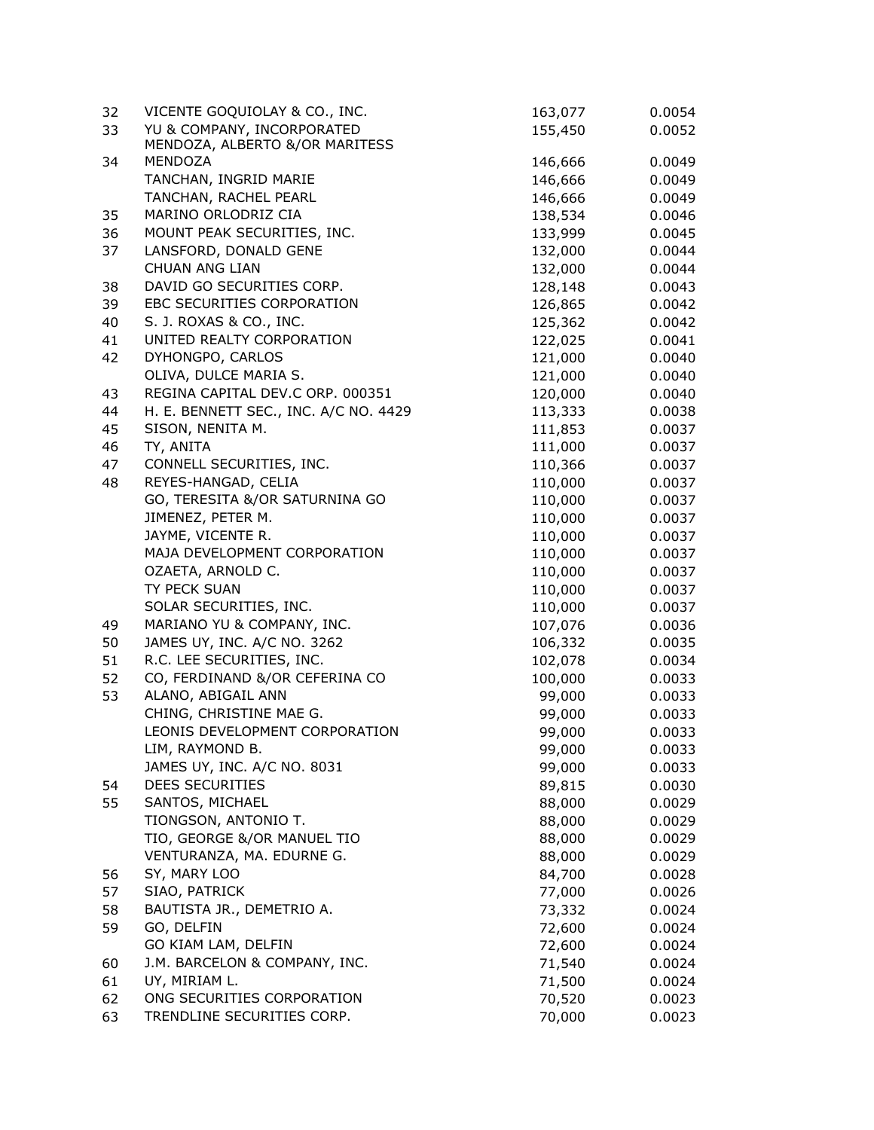| 32 | VICENTE GOQUIOLAY & CO., INC.                                | 163,077 | 0.0054           |
|----|--------------------------------------------------------------|---------|------------------|
| 33 | YU & COMPANY, INCORPORATED<br>MENDOZA, ALBERTO &/OR MARITESS | 155,450 | 0.0052           |
| 34 | MENDOZA                                                      | 146,666 | 0.0049           |
|    | TANCHAN, INGRID MARIE                                        | 146,666 | 0.0049           |
|    | TANCHAN, RACHEL PEARL                                        | 146,666 | 0.0049           |
| 35 | MARINO ORLODRIZ CIA                                          | 138,534 | 0.0046           |
| 36 | MOUNT PEAK SECURITIES, INC.                                  | 133,999 | 0.0045           |
| 37 | LANSFORD, DONALD GENE                                        | 132,000 | 0.0044           |
|    | <b>CHUAN ANG LIAN</b>                                        | 132,000 | 0.0044           |
| 38 | DAVID GO SECURITIES CORP.                                    | 128,148 | 0.0043           |
| 39 | EBC SECURITIES CORPORATION                                   | 126,865 | 0.0042           |
| 40 | S. J. ROXAS & CO., INC.                                      | 125,362 | 0.0042           |
| 41 | UNITED REALTY CORPORATION                                    | 122,025 | 0.0041           |
| 42 | DYHONGPO, CARLOS                                             | 121,000 | 0.0040           |
|    | OLIVA, DULCE MARIA S.                                        | 121,000 | 0.0040           |
| 43 | REGINA CAPITAL DEV.C ORP. 000351                             | 120,000 | 0.0040           |
| 44 | H. E. BENNETT SEC., INC. A/C NO. 4429                        | 113,333 | 0.0038           |
| 45 | SISON, NENITA M.                                             | 111,853 | 0.0037           |
| 46 | TY, ANITA                                                    | 111,000 | 0.0037           |
| 47 | CONNELL SECURITIES, INC.                                     | 110,366 | 0.0037           |
| 48 | REYES-HANGAD, CELIA                                          | 110,000 | 0.0037           |
|    | GO, TERESITA &/OR SATURNINA GO                               | 110,000 | 0.0037           |
|    | JIMENEZ, PETER M.                                            | 110,000 | 0.0037           |
|    | JAYME, VICENTE R.                                            | 110,000 | 0.0037           |
|    | MAJA DEVELOPMENT CORPORATION                                 | 110,000 | 0.0037           |
|    | OZAETA, ARNOLD C.                                            | 110,000 | 0.0037           |
|    | TY PECK SUAN                                                 | 110,000 | 0.0037           |
|    | SOLAR SECURITIES, INC.                                       | 110,000 | 0.0037           |
| 49 | MARIANO YU & COMPANY, INC.                                   | 107,076 | 0.0036           |
| 50 | JAMES UY, INC. A/C NO. 3262                                  | 106,332 | 0.0035           |
| 51 | R.C. LEE SECURITIES, INC.                                    | 102,078 | 0.0034           |
| 52 | CO, FERDINAND &/OR CEFERINA CO                               | 100,000 |                  |
| 53 | ALANO, ABIGAIL ANN                                           |         | 0.0033           |
|    | CHING, CHRISTINE MAE G.                                      | 99,000  | 0.0033           |
|    | LEONIS DEVELOPMENT CORPORATION                               | 99,000  | 0.0033<br>0.0033 |
|    |                                                              | 99,000  |                  |
|    | LIM, RAYMOND B.                                              | 99,000  | 0.0033           |
|    | JAMES UY, INC. A/C NO. 8031<br>DEES SECURITIES               | 99,000  | 0.0033           |
| 54 |                                                              | 89,815  | 0.0030           |
| 55 | SANTOS, MICHAEL                                              | 88,000  | 0.0029           |
|    | TIONGSON, ANTONIO T.                                         | 88,000  | 0.0029           |
|    | TIO, GEORGE &/OR MANUEL TIO                                  | 88,000  | 0.0029           |
|    | VENTURANZA, MA. EDURNE G.                                    | 88,000  | 0.0029           |
| 56 | SY, MARY LOO                                                 | 84,700  | 0.0028           |
| 57 | SIAO, PATRICK                                                | 77,000  | 0.0026           |
| 58 | BAUTISTA JR., DEMETRIO A.                                    | 73,332  | 0.0024           |
| 59 | GO, DELFIN                                                   | 72,600  | 0.0024           |
|    | GO KIAM LAM, DELFIN                                          | 72,600  | 0.0024           |
| 60 | J.M. BARCELON & COMPANY, INC.                                | 71,540  | 0.0024           |
| 61 | UY, MIRIAM L.                                                | 71,500  | 0.0024           |
| 62 | ONG SECURITIES CORPORATION                                   | 70,520  | 0.0023           |
| 63 | TRENDLINE SECURITIES CORP.                                   | 70,000  | 0.0023           |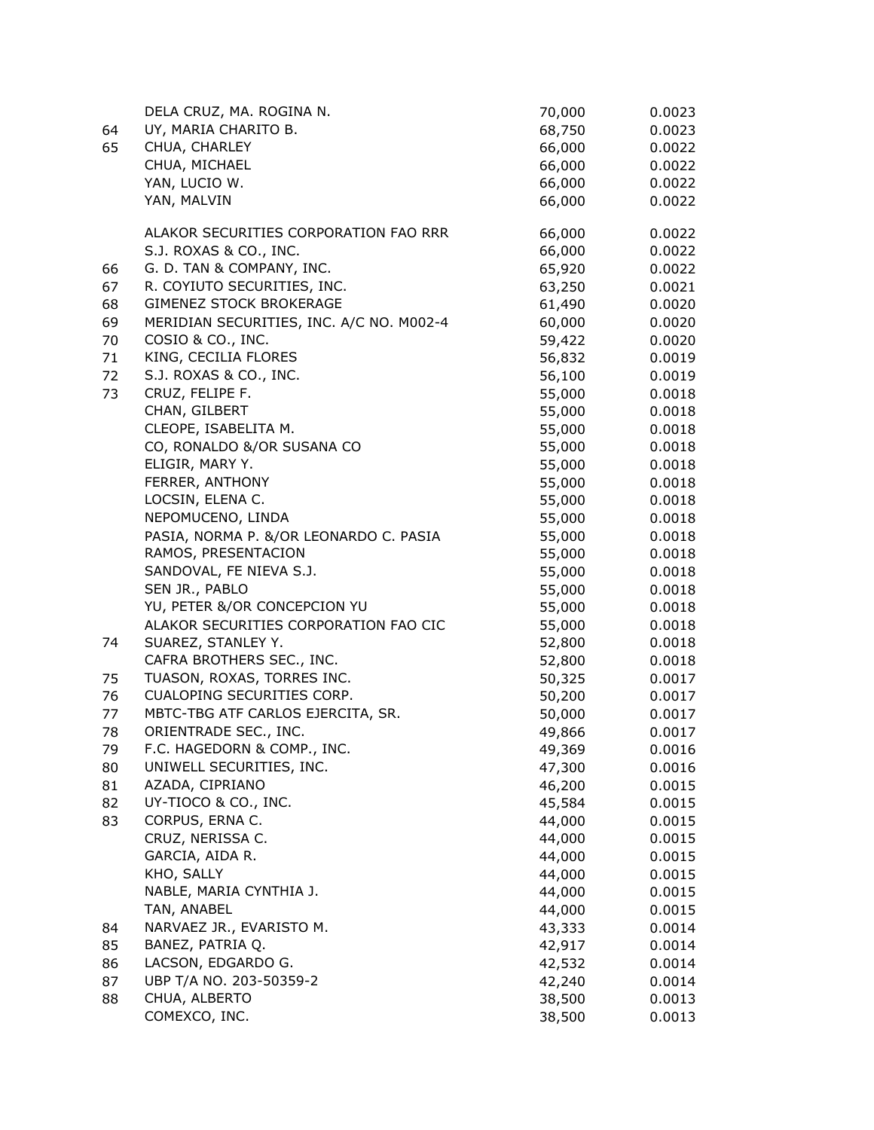|          | DELA CRUZ, MA. ROGINA N.                 | 70,000           | 0.0023           |
|----------|------------------------------------------|------------------|------------------|
| 64       | UY, MARIA CHARITO B.                     | 68,750           | 0.0023           |
| 65       | CHUA, CHARLEY                            | 66,000           | 0.0022           |
|          | CHUA, MICHAEL                            | 66,000           | 0.0022           |
|          | YAN, LUCIO W.                            | 66,000           | 0.0022           |
|          | YAN, MALVIN                              | 66,000           | 0.0022           |
|          | ALAKOR SECURITIES CORPORATION FAO RRR    | 66,000           | 0.0022           |
|          | S.J. ROXAS & CO., INC.                   | 66,000           | 0.0022           |
| 66       | G. D. TAN & COMPANY, INC.                | 65,920           | 0.0022           |
| 67       | R. COYIUTO SECURITIES, INC.              | 63,250           | 0.0021           |
| 68       | <b>GIMENEZ STOCK BROKERAGE</b>           | 61,490           | 0.0020           |
| 69       | MERIDIAN SECURITIES, INC. A/C NO. M002-4 | 60,000           | 0.0020           |
| 70       | COSIO & CO., INC.                        | 59,422           | 0.0020           |
| 71       | KING, CECILIA FLORES                     | 56,832           | 0.0019           |
| 72       | S.J. ROXAS & CO., INC.                   | 56,100           | 0.0019           |
| 73       | CRUZ, FELIPE F.                          | 55,000           | 0.0018           |
|          | CHAN, GILBERT                            | 55,000           | 0.0018           |
|          | CLEOPE, ISABELITA M.                     | 55,000           | 0.0018           |
|          | CO, RONALDO &/OR SUSANA CO               | 55,000           | 0.0018           |
|          | ELIGIR, MARY Y.                          | 55,000           | 0.0018           |
|          | FERRER, ANTHONY                          | 55,000           | 0.0018           |
|          | LOCSIN, ELENA C.                         | 55,000           | 0.0018           |
|          | NEPOMUCENO, LINDA                        | 55,000           | 0.0018           |
|          | PASIA, NORMA P. &/OR LEONARDO C. PASIA   | 55,000           | 0.0018           |
|          | RAMOS, PRESENTACION                      | 55,000           | 0.0018           |
|          | SANDOVAL, FE NIEVA S.J.                  | 55,000           | 0.0018           |
|          | SEN JR., PABLO                           | 55,000           | 0.0018           |
|          | YU, PETER &/OR CONCEPCION YU             | 55,000           | 0.0018           |
|          | ALAKOR SECURITIES CORPORATION FAO CIC    | 55,000           | 0.0018           |
| 74       | SUAREZ, STANLEY Y.                       | 52,800           | 0.0018           |
|          | CAFRA BROTHERS SEC., INC.                | 52,800           | 0.0018           |
| 75       | TUASON, ROXAS, TORRES INC.               | 50,325           | 0.0017           |
| 76       | CUALOPING SECURITIES CORP.               | 50,200           | 0.0017           |
| 77       | MBTC-TBG ATF CARLOS EJERCITA, SR.        | 50,000           | 0.0017           |
| 78       | ORIENTRADE SEC., INC.                    | 49,866           | 0.0017           |
| 79       | F.C. HAGEDORN & COMP., INC.              | 49,369           | 0.0016           |
| 80       | UNIWELL SECURITIES, INC.                 | 47,300           | 0.0016           |
| 81       | AZADA, CIPRIANO                          | 46,200           | 0.0015           |
| 82       | UY-TIOCO & CO., INC.                     | 45,584           | 0.0015           |
| 83       | CORPUS, ERNA C.                          | 44,000           | 0.0015           |
|          | CRUZ, NERISSA C.                         | 44,000           | 0.0015           |
|          | GARCIA, AIDA R.                          | 44,000           | 0.0015           |
|          | KHO, SALLY                               | 44,000           | 0.0015           |
|          | NABLE, MARIA CYNTHIA J.<br>TAN, ANABEL   | 44,000           | 0.0015           |
| 84       | NARVAEZ JR., EVARISTO M.                 | 44,000<br>43,333 | 0.0015<br>0.0014 |
|          | BANEZ, PATRIA Q.                         |                  |                  |
| 85<br>86 | LACSON, EDGARDO G.                       | 42,917<br>42,532 | 0.0014<br>0.0014 |
| 87       | UBP T/A NO. 203-50359-2                  | 42,240           | 0.0014           |
| 88       | CHUA, ALBERTO                            | 38,500           | 0.0013           |
|          | COMEXCO, INC.                            | 38,500           | 0.0013           |
|          |                                          |                  |                  |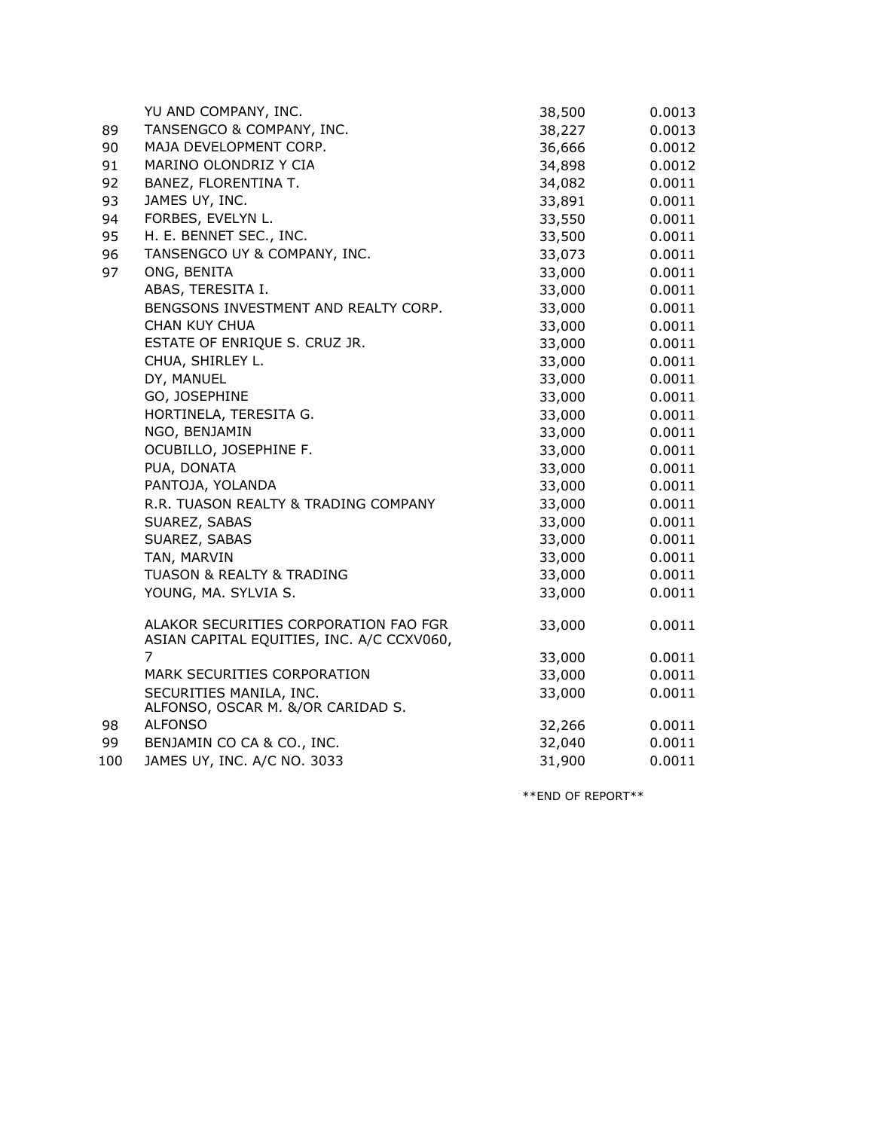|     | YU AND COMPANY, INC.                                                               | 38,500 | 0.0013 |
|-----|------------------------------------------------------------------------------------|--------|--------|
| 89  | TANSENGCO & COMPANY, INC.                                                          | 38,227 | 0.0013 |
| 90  | MAJA DEVELOPMENT CORP.                                                             | 36,666 | 0.0012 |
| 91  | MARINO OLONDRIZ Y CIA                                                              | 34,898 | 0.0012 |
| 92  | BANEZ, FLORENTINA T.                                                               | 34,082 | 0.0011 |
| 93  | JAMES UY, INC.                                                                     | 33,891 | 0.0011 |
| 94  | FORBES, EVELYN L.                                                                  | 33,550 | 0.0011 |
| 95  | H. E. BENNET SEC., INC.                                                            | 33,500 | 0.0011 |
| 96  | TANSENGCO UY & COMPANY, INC.                                                       | 33,073 | 0.0011 |
| 97  | ONG, BENITA                                                                        | 33,000 | 0.0011 |
|     | ABAS, TERESITA I.                                                                  | 33,000 | 0.0011 |
|     | BENGSONS INVESTMENT AND REALTY CORP.                                               | 33,000 | 0.0011 |
|     | CHAN KUY CHUA                                                                      | 33,000 | 0.0011 |
|     | ESTATE OF ENRIQUE S. CRUZ JR.                                                      | 33,000 | 0.0011 |
|     | CHUA, SHIRLEY L.                                                                   | 33,000 | 0.0011 |
|     | DY, MANUEL                                                                         | 33,000 | 0.0011 |
|     | GO, JOSEPHINE                                                                      | 33,000 | 0.0011 |
|     | HORTINELA, TERESITA G.                                                             | 33,000 | 0.0011 |
|     | NGO, BENJAMIN                                                                      | 33,000 | 0.0011 |
|     | OCUBILLO, JOSEPHINE F.                                                             | 33,000 | 0.0011 |
|     | PUA, DONATA                                                                        | 33,000 | 0.0011 |
|     | PANTOJA, YOLANDA                                                                   | 33,000 | 0.0011 |
|     | R.R. TUASON REALTY & TRADING COMPANY                                               | 33,000 | 0.0011 |
|     | SUAREZ, SABAS                                                                      | 33,000 | 0.0011 |
|     | SUAREZ, SABAS                                                                      | 33,000 | 0.0011 |
|     | TAN, MARVIN                                                                        | 33,000 | 0.0011 |
|     | TUASON & REALTY & TRADING                                                          | 33,000 | 0.0011 |
|     | YOUNG, MA. SYLVIA S.                                                               | 33,000 | 0.0011 |
|     | ALAKOR SECURITIES CORPORATION FAO FGR<br>ASIAN CAPITAL EQUITIES, INC. A/C CCXV060, | 33,000 | 0.0011 |
|     | $\overline{7}$                                                                     | 33,000 | 0.0011 |
|     | MARK SECURITIES CORPORATION                                                        | 33,000 | 0.0011 |
|     | SECURITIES MANILA, INC.                                                            | 33,000 | 0.0011 |
|     | ALFONSO, OSCAR M. &/OR CARIDAD S.                                                  |        |        |
| 98  | <b>ALFONSO</b>                                                                     | 32,266 | 0.0011 |
| 99  | BENJAMIN CO CA & CO., INC.                                                         | 32,040 | 0.0011 |
| 100 | JAMES UY, INC. A/C NO. 3033                                                        | 31,900 | 0.0011 |

\*\*END OF REPORT\*\*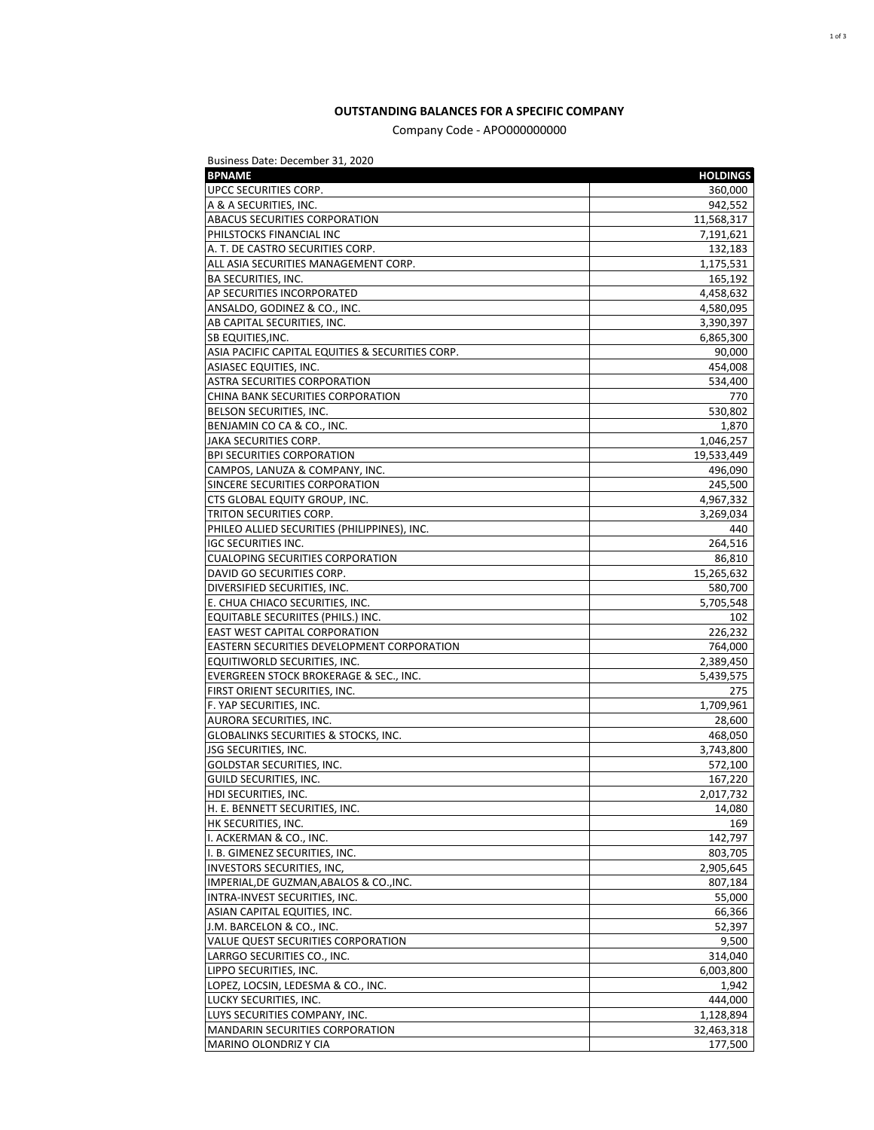## **OUTSTANDING BALANCES FOR A SPECIFIC COMPANY**

Company Code - APO000000000

| Business Date: December 31, 2020                 |                 |
|--------------------------------------------------|-----------------|
| <b>BPNAME</b>                                    | <b>HOLDINGS</b> |
| UPCC SECURITIES CORP.                            | 360,000         |
| A & A SECURITIES, INC.                           | 942,552         |
| ABACUS SECURITIES CORPORATION                    | 11,568,317      |
| PHILSTOCKS FINANCIAL INC                         | 7,191,621       |
| A. T. DE CASTRO SECURITIES CORP.                 | 132,183         |
| ALL ASIA SECURITIES MANAGEMENT CORP.             | 1,175,531       |
| BA SECURITIES, INC.                              | 165,192         |
| AP SECURITIES INCORPORATED                       | 4,458,632       |
| ANSALDO, GODINEZ & CO., INC.                     | 4,580,095       |
| AB CAPITAL SECURITIES, INC.                      | 3,390,397       |
| SB EQUITIES, INC.                                | 6,865,300       |
| ASIA PACIFIC CAPITAL EQUITIES & SECURITIES CORP. | 90,000          |
| ASIASEC EQUITIES, INC.                           | 454,008         |
| ASTRA SECURITIES CORPORATION                     | 534,400         |
| CHINA BANK SECURITIES CORPORATION                | 770             |
| BELSON SECURITIES, INC.                          | 530,802         |
| BENJAMIN CO CA & CO., INC.                       | 1,870           |
| JAKA SECURITIES CORP.                            | 1,046,257       |
| <b>BPI SECURITIES CORPORATION</b>                | 19,533,449      |
| CAMPOS, LANUZA & COMPANY, INC.                   | 496,090         |
| SINCERE SECURITIES CORPORATION                   | 245,500         |
| CTS GLOBAL EQUITY GROUP, INC.                    | 4,967,332       |
| TRITON SECURITIES CORP.                          | 3,269,034       |
| PHILEO ALLIED SECURITIES (PHILIPPINES), INC.     | 440             |
| <b>IGC SECURITIES INC.</b>                       | 264,516         |
| <b>CUALOPING SECURITIES CORPORATION</b>          | 86,810          |
|                                                  |                 |
| DAVID GO SECURITIES CORP.                        | 15,265,632      |
| DIVERSIFIED SECURITIES, INC.                     | 580,700         |
| E. CHUA CHIACO SECURITIES, INC.                  | 5,705,548       |
| EQUITABLE SECURIITES (PHILS.) INC.               | 102             |
| EAST WEST CAPITAL CORPORATION                    | 226,232         |
| EASTERN SECURITIES DEVELOPMENT CORPORATION       | 764,000         |
| EQUITIWORLD SECURITIES, INC.                     | 2,389,450       |
| EVERGREEN STOCK BROKERAGE & SEC., INC.           | 5,439,575       |
| FIRST ORIENT SECURITIES, INC.                    | 275             |
| F. YAP SECURITIES, INC.                          | 1,709,961       |
| AURORA SECURITIES, INC.                          | 28,600          |
| GLOBALINKS SECURITIES & STOCKS, INC.             | 468,050         |
| JSG SECURITIES, INC.                             | 3,743,800       |
| <b>GOLDSTAR SECURITIES, INC.</b>                 | 572,100         |
| GUILD SECURITIES, INC.                           | 167,220         |
| HDI SECURITIES, INC.                             | 2,017,732       |
| H. E. BENNETT SECURITIES, INC.                   | 14,080          |
| HK SECURITIES, INC.                              | 169             |
| I. ACKERMAN & CO., INC.                          | 142,797         |
| I. B. GIMENEZ SECURITIES, INC.                   | 803,705         |
| <b>INVESTORS SECURITIES, INC.</b>                | 2,905,645       |
| IMPERIAL, DE GUZMAN, ABALOS & CO., INC.          | 807,184         |
| INTRA-INVEST SECURITIES, INC.                    | 55,000          |
| ASIAN CAPITAL EQUITIES, INC.                     | 66,366          |
| J.M. BARCELON & CO., INC.                        | 52,397          |
| VALUE QUEST SECURITIES CORPORATION               | 9,500           |
| LARRGO SECURITIES CO., INC.                      | 314,040         |
| LIPPO SECURITIES, INC.                           | 6,003,800       |
| LOPEZ, LOCSIN, LEDESMA & CO., INC.               | 1,942           |
| LUCKY SECURITIES, INC.                           | 444,000         |
| LUYS SECURITIES COMPANY, INC.                    | 1,128,894       |
| <b>MANDARIN SECURITIES CORPORATION</b>           | 32,463,318      |
| MARINO OLONDRIZ Y CIA                            | 177,500         |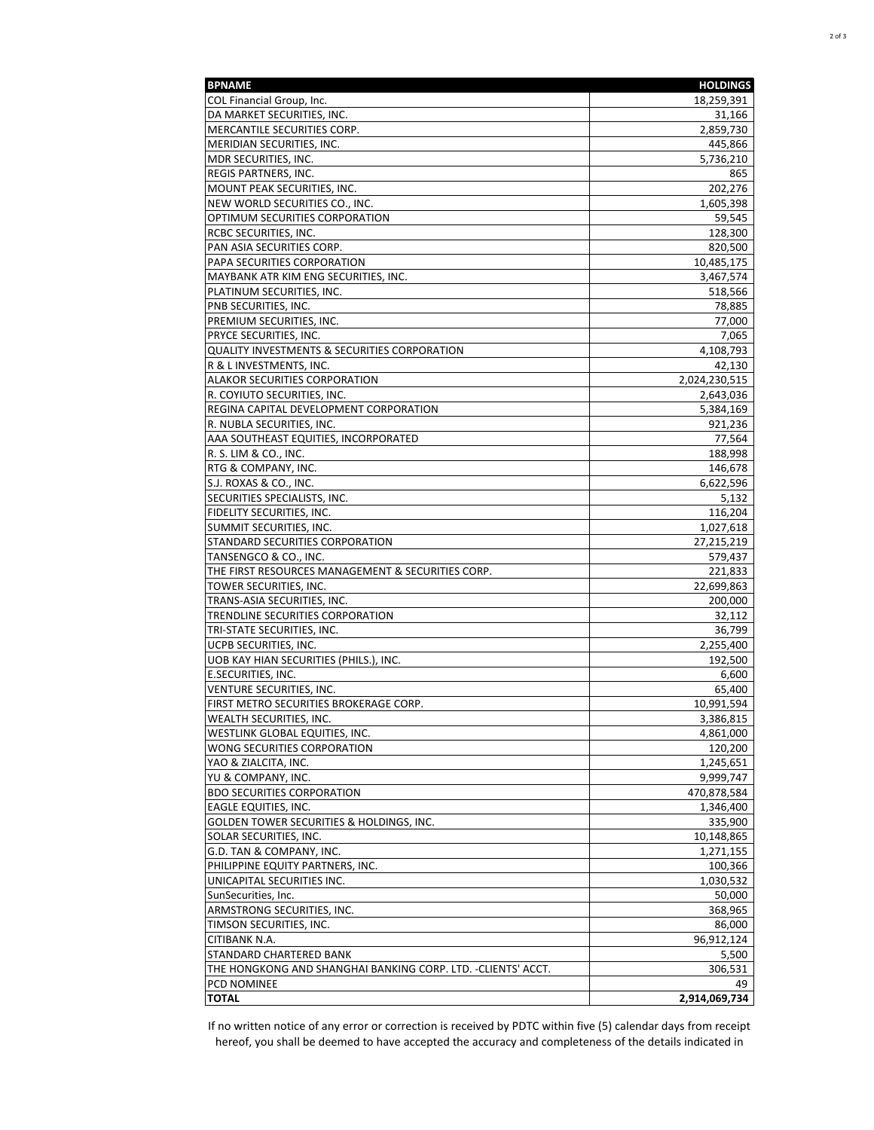| <b>BPNAME</b>                                                | <b>HOLDINGS</b> |
|--------------------------------------------------------------|-----------------|
| COL Financial Group, Inc.                                    | 18,259,391      |
| DA MARKET SECURITIES, INC.                                   | 31,166          |
| MERCANTILE SECURITIES CORP.                                  | 2,859,730       |
| MERIDIAN SECURITIES, INC.                                    | 445,866         |
| MDR SECURITIES, INC.                                         | 5,736,210       |
| <b>REGIS PARTNERS, INC.</b>                                  | 865             |
| MOUNT PEAK SECURITIES, INC.                                  | 202,276         |
| NEW WORLD SECURITIES CO., INC.                               | 1,605,398       |
| OPTIMUM SECURITIES CORPORATION                               | 59.545          |
| RCBC SECURITIES, INC.                                        | 128,300         |
| PAN ASIA SECURITIES CORP.                                    | 820,500         |
| PAPA SECURITIES CORPORATION                                  | 10,485,175      |
| MAYBANK ATR KIM ENG SECURITIES, INC.                         | 3,467,574       |
| PLATINUM SECURITIES, INC.                                    | 518,566         |
| PNB SECURITIES, INC.                                         | 78,885          |
| PREMIUM SECURITIES, INC.                                     | 77,000          |
| <b>PRYCE SECURITIES, INC.</b>                                | 7,065           |
| QUALITY INVESTMENTS & SECURITIES CORPORATION                 | 4,108,793       |
| R & L INVESTMENTS, INC.                                      | 42,130          |
| ALAKOR SECURITIES CORPORATION                                | 2,024,230,515   |
| R. COYIUTO SECURITIES, INC.                                  | 2,643,036       |
| REGINA CAPITAL DEVELOPMENT CORPORATION                       | 5,384,169       |
| R. NUBLA SECURITIES, INC.                                    | 921,236         |
| AAA SOUTHEAST EQUITIES, INCORPORATED                         | 77,564          |
| R. S. LIM & CO., INC.                                        | 188,998         |
| RTG & COMPANY, INC.                                          | 146,678         |
| S.J. ROXAS & CO., INC.                                       | 6,622,596       |
| SECURITIES SPECIALISTS, INC.                                 | 5,132           |
| <b>FIDELITY SECURITIES, INC.</b>                             | 116,204         |
| SUMMIT SECURITIES, INC.                                      | 1,027,618       |
| STANDARD SECURITIES CORPORATION                              | 27,215,219      |
| TANSENGCO & CO., INC.                                        | 579,437         |
| THE FIRST RESOURCES MANAGEMENT & SECURITIES CORP.            | 221,833         |
| TOWER SECURITIES, INC.                                       | 22,699,863      |
| TRANS-ASIA SECURITIES, INC.                                  | 200,000         |
| TRENDLINE SECURITIES CORPORATION                             | 32,112          |
| TRI-STATE SECURITIES, INC.                                   | 36,799          |
| <b>UCPB SECURITIES, INC.</b>                                 | 2,255,400       |
| UOB KAY HIAN SECURITIES (PHILS.), INC.                       | 192,500         |
| <b>E.SECURITIES, INC.</b>                                    | 6,600           |
| VENTURE SECURITIES, INC.                                     | 65.400          |
| FIRST METRO SECURITIES BROKERAGE CORP.                       | 10,991,594      |
| WEALTH SECURITIES, INC.                                      | 3,386,815       |
| WESTLINK GLOBAL EQUITIES, INC.                               | 4,861,000       |
| WONG SECURITIES CORPORATION                                  | 120,200         |
| YAO & ZIALCITA, INC.                                         | 1,245,651       |
| YU & COMPANY, INC.                                           | 9,999,747       |
| <b>BDO SECURITIES CORPORATION</b>                            | 470,878,584     |
| <b>EAGLE EQUITIES, INC.</b>                                  | 1,346,400       |
| GOLDEN TOWER SECURITIES & HOLDINGS, INC.                     | 335,900         |
| SOLAR SECURITIES, INC.                                       | 10,148,865      |
| G.D. TAN & COMPANY, INC.                                     | 1,271,155       |
| PHILIPPINE EQUITY PARTNERS, INC.                             | 100,366         |
| UNICAPITAL SECURITIES INC.                                   | 1,030,532       |
| SunSecurities, Inc.                                          | 50,000          |
| ARMSTRONG SECURITIES, INC.                                   | 368,965         |
| TIMSON SECURITIES, INC.                                      | 86,000          |
| CITIBANK N.A.                                                | 96,912,124      |
| STANDARD CHARTERED BANK                                      | 5,500           |
| THE HONGKONG AND SHANGHAI BANKING CORP. LTD. -CLIENTS' ACCT. | 306,531         |
| <b>PCD NOMINEE</b>                                           | 49              |
| <b>TOTAL</b>                                                 | 2,914,069,734   |

If no written notice of any error or correction is received by PDTC within five (5) calendar days from receipt hereof, you shall be deemed to have accepted the accuracy and completeness of the details indicated in